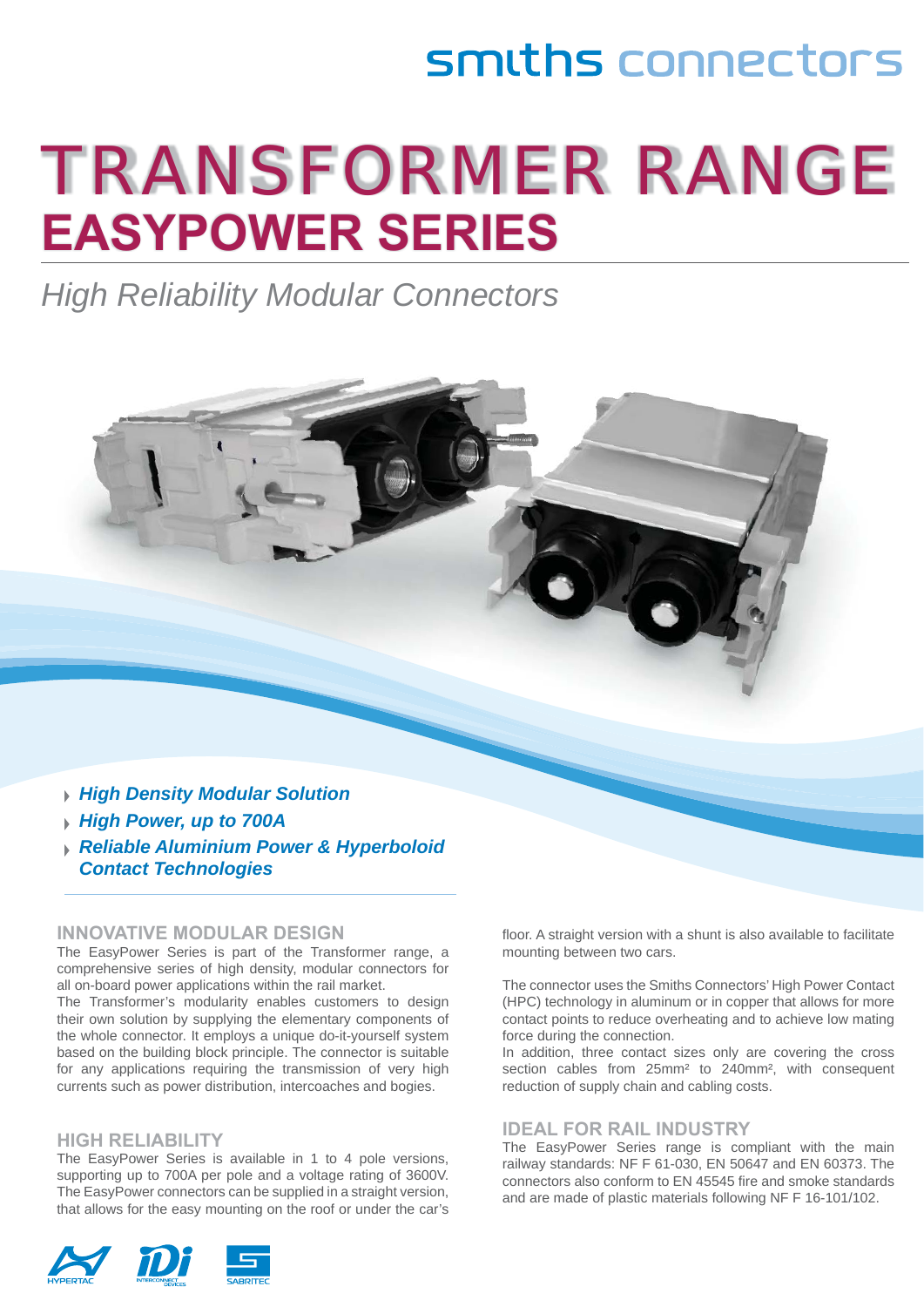# smiths connectors

# TRANSFORMER RANGE **EASYPOWER SERIES**

*High Reliability Modular Connectors* 



*Contact Technologies* 

#### **INNOVATIVE MODULAR DESIGN**

The EasyPower Series is part of the Transformer range, a comprehensive series of high density, modular connectors for all on-board power applications within the rail market.

The Transformer's modularity enables customers to design their own solution by supplying the elementary components of the whole connector. It employs a unique do-it-yourself system based on the building block principle. The connector is suitable for any applications requiring the transmission of very high currents such as power distribution, intercoaches and bogies.

#### **HIGH RELIABILITY**

The EasyPower Series is available in 1 to 4 pole versions, supporting up to 700A per pole and a voltage rating of 3600V. The EasyPower connectors can be supplied in a straight version, that allows for the easy mounting on the roof or under the car's floor. A straight version with a shunt is also available to facilitate mounting between two cars.

The connector uses the Smiths Connectors' High Power Contact (HPC) technology in aluminum or in copper that allows for more contact points to reduce overheating and to achieve low mating force during the connection.

In addition, three contact sizes only are covering the cross section cables from 25mm² to 240mm², with consequent reduction of supply chain and cabling costs.

#### **IDEAL FOR RAIL INDUSTRY**

The EasyPower Series range is compliant with the main railway standards: NF F 61-030, EN 50647 and EN 60373. The connectors also conform to EN 45545 fire and smoke standards and are made of plastic materials following NF F 16-101/102.

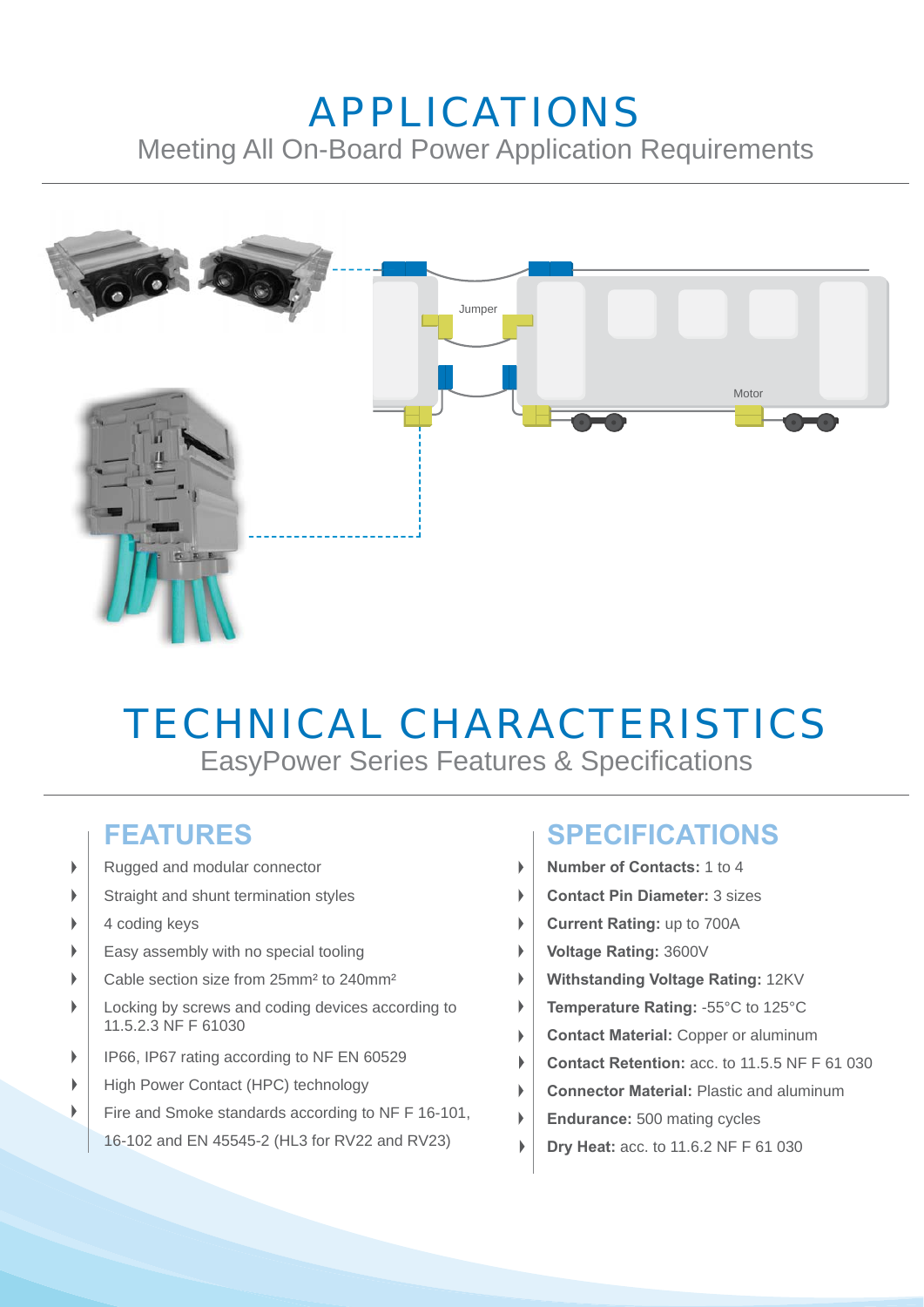## APPLICATIONS Meeting All On-Board Power Application Requirements



# TECHNICAL CHARACTERISTICS

EasyPower Series Features & Specifications

 $\mathbf{b}$ 

### **FEATURES**

- Rugged and modular connector b
- Straight and shunt termination styles b
- 4 coding keys Þ
- Easy assembly with no special tooling ь
- Cable section size from 25mm² to 240mm² ь
- ь Locking by screws and coding devices according to 11.5.2.3 NF F 61030
- $\mathbf{r}$ IP66, IP67 rating according to NF EN 60529
- High Power Contact (HPC) technology
- b Fire and Smoke standards according to NF F 16-101,
	- 16-102 and EN 45545-2 (HL3 for RV22 and RV23)

## **SPECIFICATIONS**

- **Number of Contacts:** 1 to 4
- **Contact Pin Diameter:** 3 sizes  $\mathbf b$
- **Current Rating:** up to 700A
- **Voltage Rating:** 3600V
- **Withstanding Voltage Rating:** 12KV
- **Temperature Rating:** -55°C to 125°C
- **Contact Material:** Copper or aluminum
- **Contact Retention:** acc. to 11.5.5 NF F 61 030
- **Connector Material:** Plastic and aluminum
- **Endurance:** 500 mating cycles
- **Dry Heat:** acc. to 11.6.2 NF F 61 030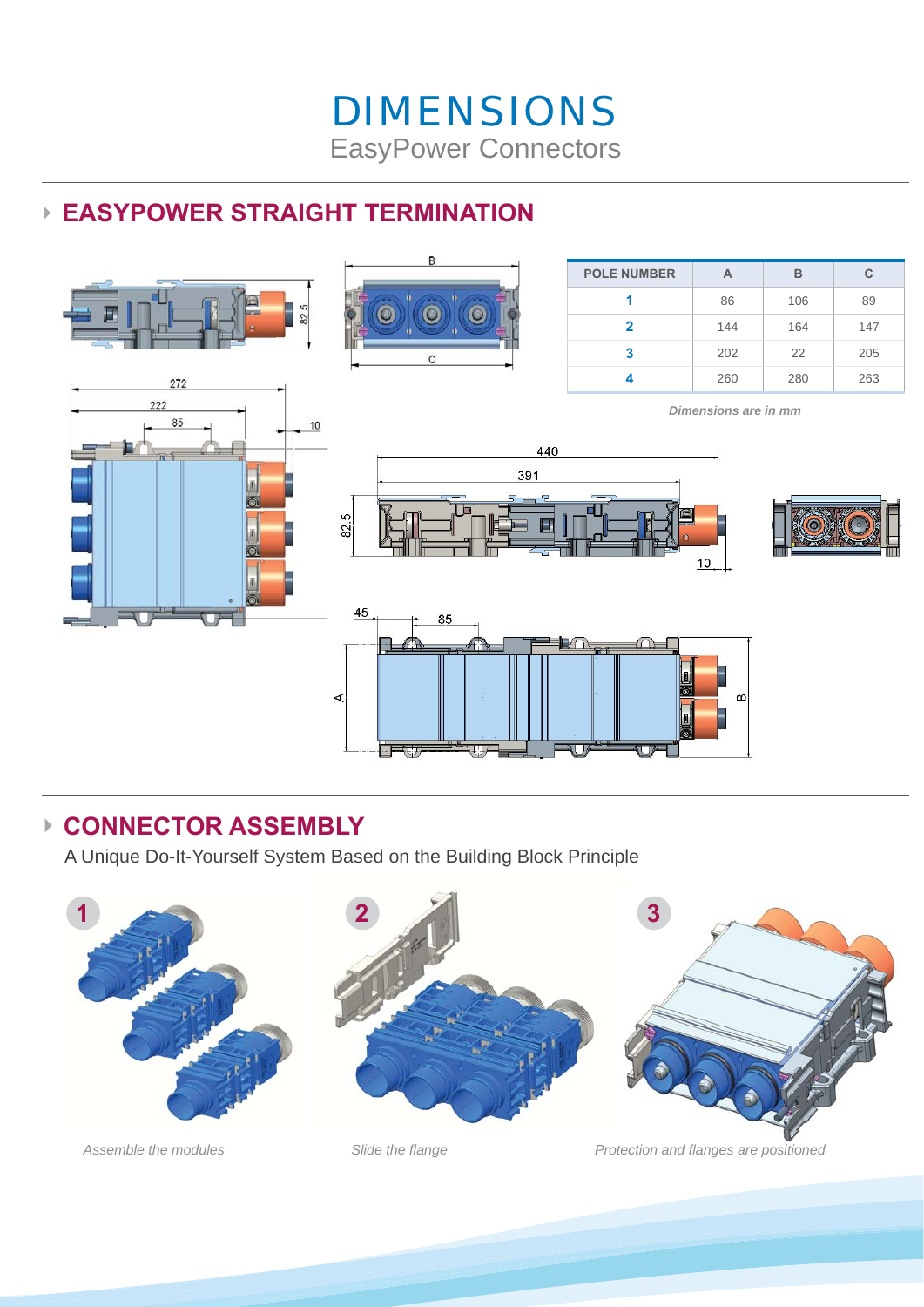## **► EASYPOWER STRAIGHT TERMINATION**



#### **► CONNECTOR ASSEMBLY**

A Unique Do-It-Yourself System Based on the Building Block Principle







Assemble the modules Slide the *flange* Protection and *flanges* are positioned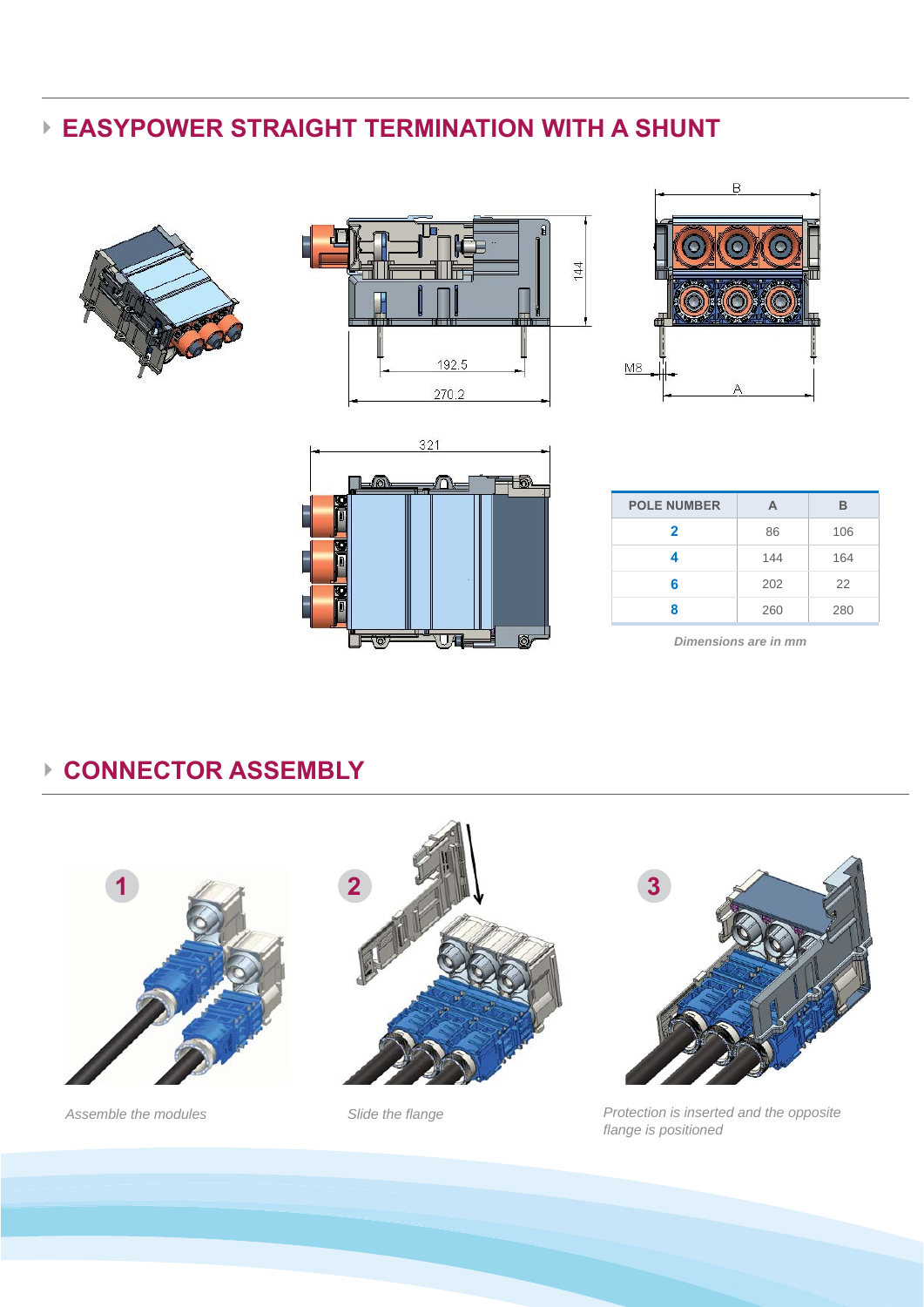## **► EASYPOWER STRAIGHT TERMINATION WITH A SHUNT**









| <b>POLE NUMBER</b> | А   | в   |
|--------------------|-----|-----|
| $\mathbf{2}$       | 86  | 106 |
|                    | 144 | 164 |
| 6                  | 202 | 22  |
| Զ                  | 260 | 280 |

*Dimensions are in mm*

### **► CONNECTOR ASSEMBLY**







Assemble the modules Slide the flange *Protection is inserted and the opposite Assemble the modules fl ange is positioned*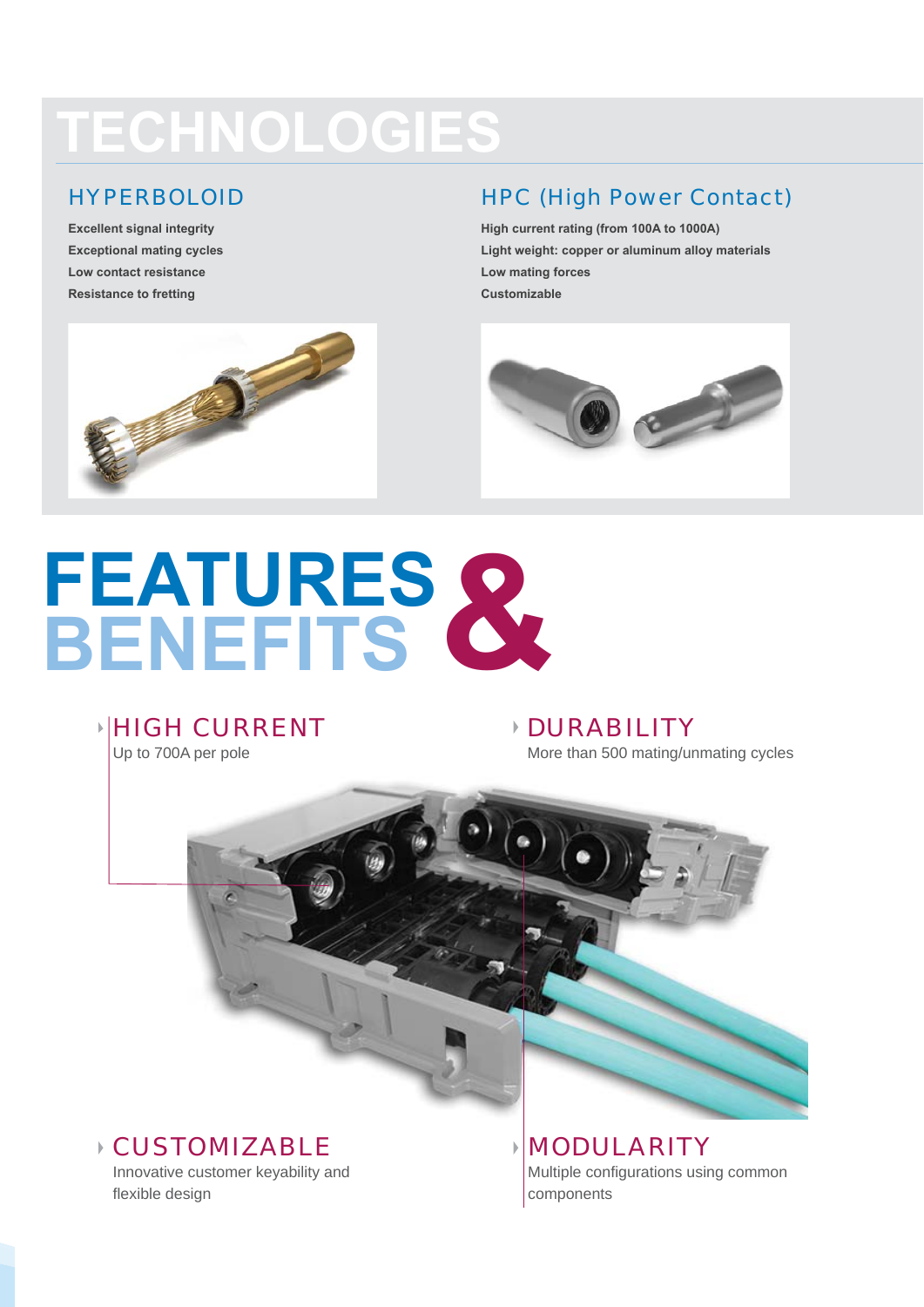# **TECHNOLOGIES**

#### HYPERBOLOID

**Excellent signal integrity Exceptional mating cycles Low contact resistance Resistance to fretting**

#### HPC (High Power Contact)

**High current rating (from 100A to 1000A) Light weight: copper or aluminum alloy materials Low mating forces Customizable** 



# **FEATURES BENEFITS &**

## **HIGH CURRENT**

Up to 700A per pole

#### DURABILITY More than 500 mating/unmating cycles



#### CUSTOMIZABLE

Innovative customer keyability and flexible design

MODULARITY Multiple configurations using common components